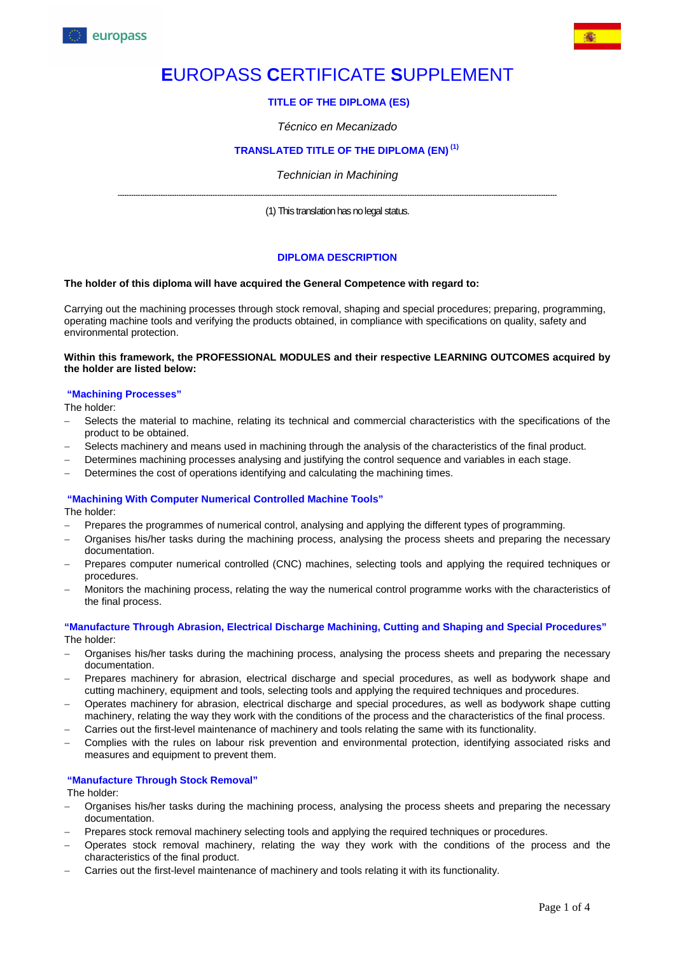

# **E**UROPASS **C**ERTIFICATE **S**UPPLEMENT

## **TITLE OF THE DIPLOMA (ES)**

#### *Técnico en Mecanizado*

# **TRANSLATED TITLE OF THE DIPLOMA (EN) (1)**

#### *Technician in Machining*

**--------------------------------------------------------------------------------------------------------------------------------------------------------------------------------------------------**  (1) This translation has no legal status.

#### **DIPLOMA DESCRIPTION**

#### **The holder of this diploma will have acquired the General Competence with regard to:**

Carrying out the machining processes through stock removal, shaping and special procedures; preparing, programming, operating machine tools and verifying the products obtained, in compliance with specifications on quality, safety and environmental protection.

#### **Within this framework, the PROFESSIONAL MODULES and their respective LEARNING OUTCOMES acquired by the holder are listed below:**

#### **"Machining Processes"**

The holder:

- Selects the material to machine, relating its technical and commercial characteristics with the specifications of the product to be obtained.
- Selects machinery and means used in machining through the analysis of the characteristics of the final product.
- Determines machining processes analysing and justifying the control sequence and variables in each stage.
- Determines the cost of operations identifying and calculating the machining times.

#### **"Machining With Computer Numerical Controlled Machine Tools"**

The holder:

- Prepares the programmes of numerical control, analysing and applying the different types of programming.
- Organises his/her tasks during the machining process, analysing the process sheets and preparing the necessary documentation.
- Prepares computer numerical controlled (CNC) machines, selecting tools and applying the required techniques or procedures.
- Monitors the machining process, relating the way the numerical control programme works with the characteristics of the final process.

**"Manufacture Through Abrasion, Electrical Discharge Machining, Cutting and Shaping and Special Procedures"**  The holder:

- Organises his/her tasks during the machining process, analysing the process sheets and preparing the necessary documentation.
- Prepares machinery for abrasion, electrical discharge and special procedures, as well as bodywork shape and cutting machinery, equipment and tools, selecting tools and applying the required techniques and procedures.
- Operates machinery for abrasion, electrical discharge and special procedures, as well as bodywork shape cutting machinery, relating the way they work with the conditions of the process and the characteristics of the final process.
- Carries out the first-level maintenance of machinery and tools relating the same with its functionality.
- Complies with the rules on labour risk prevention and environmental protection, identifying associated risks and measures and equipment to prevent them.

#### **"Manufacture Through Stock Removal"**

The holder:

- Organises his/her tasks during the machining process, analysing the process sheets and preparing the necessary documentation.
- Prepares stock removal machinery selecting tools and applying the required techniques or procedures.
- Operates stock removal machinery, relating the way they work with the conditions of the process and the characteristics of the final product.
- Carries out the first-level maintenance of machinery and tools relating it with its functionality.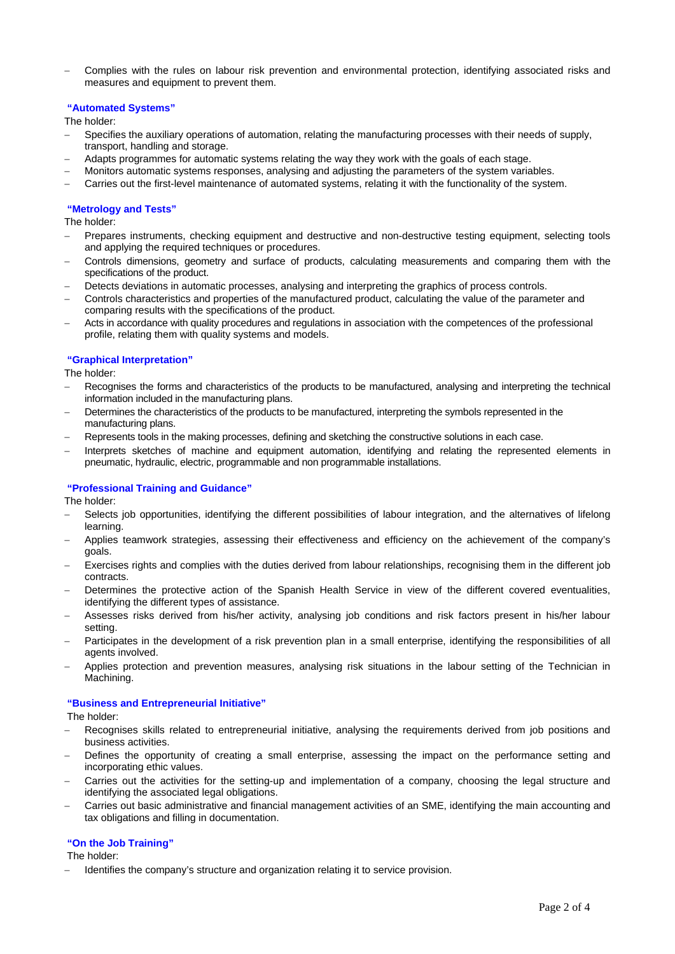Complies with the rules on labour risk prevention and environmental protection, identifying associated risks and measures and equipment to prevent them.

#### **"Automated Systems"**

The holder:

- Specifies the auxiliary operations of automation, relating the manufacturing processes with their needs of supply, transport, handling and storage.
- Adapts programmes for automatic systems relating the way they work with the goals of each stage.
- Monitors automatic systems responses, analysing and adjusting the parameters of the system variables.
- Carries out the first-level maintenance of automated systems, relating it with the functionality of the system.

#### **"Metrology and Tests"**

The holder:

- Prepares instruments, checking equipment and destructive and non-destructive testing equipment, selecting tools and applying the required techniques or procedures.
- Controls dimensions, geometry and surface of products, calculating measurements and comparing them with the specifications of the product.
- Detects deviations in automatic processes, analysing and interpreting the graphics of process controls.
- Controls characteristics and properties of the manufactured product, calculating the value of the parameter and comparing results with the specifications of the product.
- Acts in accordance with quality procedures and regulations in association with the competences of the professional profile, relating them with quality systems and models.

#### **"Graphical Interpretation"**

The holder:

- Recognises the forms and characteristics of the products to be manufactured, analysing and interpreting the technical information included in the manufacturing plans.
- Determines the characteristics of the products to be manufactured, interpreting the symbols represented in the manufacturing plans.
- Represents tools in the making processes, defining and sketching the constructive solutions in each case.
- Interprets sketches of machine and equipment automation, identifying and relating the represented elements in pneumatic, hydraulic, electric, programmable and non programmable installations.

#### **"Professional Training and Guidance"**

The holder:

- Selects job opportunities, identifying the different possibilities of labour integration, and the alternatives of lifelong learning.
- Applies teamwork strategies, assessing their effectiveness and efficiency on the achievement of the company's goals.
- Exercises rights and complies with the duties derived from labour relationships, recognising them in the different job contracts.
- Determines the protective action of the Spanish Health Service in view of the different covered eventualities, identifying the different types of assistance.
- Assesses risks derived from his/her activity, analysing job conditions and risk factors present in his/her labour setting.
- Participates in the development of a risk prevention plan in a small enterprise, identifying the responsibilities of all agents involved.
- Applies protection and prevention measures, analysing risk situations in the labour setting of the Technician in Machining.

#### **"Business and Entrepreneurial Initiative"**

The holder:

- Recognises skills related to entrepreneurial initiative, analysing the requirements derived from job positions and business activities.
- Defines the opportunity of creating a small enterprise, assessing the impact on the performance setting and incorporating ethic values.
- Carries out the activities for the setting-up and implementation of a company, choosing the legal structure and identifying the associated legal obligations.
- Carries out basic administrative and financial management activities of an SME, identifying the main accounting and tax obligations and filling in documentation.

#### **"On the Job Training"**

The holder:

Identifies the company's structure and organization relating it to service provision.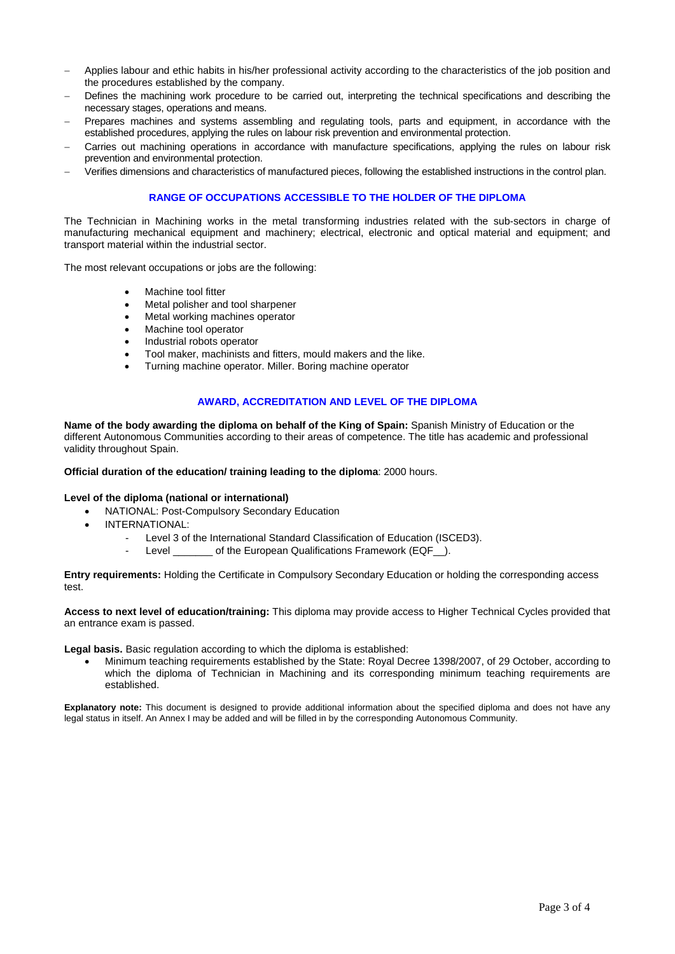- Applies labour and ethic habits in his/her professional activity according to the characteristics of the job position and the procedures established by the company.
- Defines the machining work procedure to be carried out, interpreting the technical specifications and describing the necessary stages, operations and means.
- Prepares machines and systems assembling and regulating tools, parts and equipment, in accordance with the established procedures, applying the rules on labour risk prevention and environmental protection.
- Carries out machining operations in accordance with manufacture specifications, applying the rules on labour risk prevention and environmental protection.
- Verifies dimensions and characteristics of manufactured pieces, following the established instructions in the control plan.

#### **RANGE OF OCCUPATIONS ACCESSIBLE TO THE HOLDER OF THE DIPLOMA**

The Technician in Machining works in the metal transforming industries related with the sub-sectors in charge of manufacturing mechanical equipment and machinery; electrical, electronic and optical material and equipment; and transport material within the industrial sector.

The most relevant occupations or jobs are the following:

- Machine tool fitter
- Metal polisher and tool sharpener
- Metal working machines operator
- Machine tool operator
- Industrial robots operator
- Tool maker, machinists and fitters, mould makers and the like.
- Turning machine operator. Miller. Boring machine operator

#### **AWARD, ACCREDITATION AND LEVEL OF THE DIPLOMA**

**Name of the body awarding the diploma on behalf of the King of Spain:** Spanish Ministry of Education or the different Autonomous Communities according to their areas of competence. The title has academic and professional validity throughout Spain.

#### **Official duration of the education/ training leading to the diploma**: 2000 hours.

#### **Level of the diploma (national or international)**

- NATIONAL: Post-Compulsory Secondary Education
- INTERNATIONAL:
	- Level 3 of the International Standard Classification of Education (ISCED3).
		- Level of the European Qualifications Framework (EQF ).

**Entry requirements:** Holding the Certificate in Compulsory Secondary Education or holding the corresponding access test.

**Access to next level of education/training:** This diploma may provide access to Higher Technical Cycles provided that an entrance exam is passed.

**Legal basis.** Basic regulation according to which the diploma is established:

 Minimum teaching requirements established by the State: Royal Decree 1398/2007, of 29 October, according to which the diploma of Technician in Machining and its corresponding minimum teaching requirements are established.

**Explanatory note:** This document is designed to provide additional information about the specified diploma and does not have any legal status in itself. An Annex I may be added and will be filled in by the corresponding Autonomous Community.